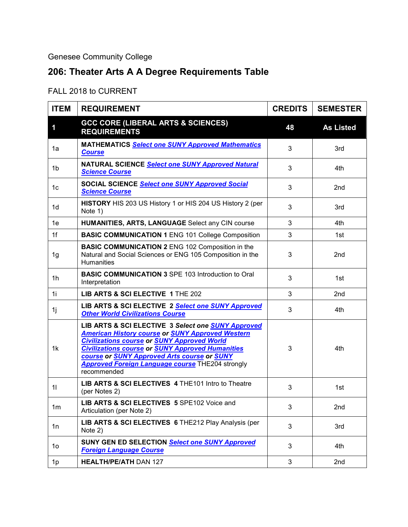## Genesee Community College

## **206: Theater Arts A A Degree Requirements Table**

## FALL 2018 to CURRENT

| <b>ITEM</b>    | <b>REQUIREMENT</b>                                                                                                                                                                                                                                                                                                                                             | <b>CREDITS</b> | <b>SEMESTER</b>  |
|----------------|----------------------------------------------------------------------------------------------------------------------------------------------------------------------------------------------------------------------------------------------------------------------------------------------------------------------------------------------------------------|----------------|------------------|
| 1              | <b>GCC CORE (LIBERAL ARTS &amp; SCIENCES)</b><br><b>REQUIREMENTS</b>                                                                                                                                                                                                                                                                                           | 48             | <b>As Listed</b> |
| 1a             | <b>MATHEMATICS Select one SUNY Approved Mathematics</b><br><b>Course</b>                                                                                                                                                                                                                                                                                       | 3              | 3rd              |
| 1 <sub>b</sub> | NATURAL SCIENCE Select one SUNY Approved Natural<br><b>Science Course</b>                                                                                                                                                                                                                                                                                      | 3              | 4th.             |
| 1c             | SOCIAL SCIENCE Select one SUNY Approved Social<br><b>Science Course</b>                                                                                                                                                                                                                                                                                        | 3              | 2nd              |
| 1d             | HISTORY HIS 203 US History 1 or HIS 204 US History 2 (per<br>Note 1)                                                                                                                                                                                                                                                                                           | 3              | 3rd              |
| 1e             | HUMANITIES, ARTS, LANGUAGE Select any CIN course                                                                                                                                                                                                                                                                                                               | 3              | 4th              |
| 1f             | <b>BASIC COMMUNICATION 1 ENG 101 College Composition</b>                                                                                                                                                                                                                                                                                                       | 3              | 1st              |
| 1g             | <b>BASIC COMMUNICATION 2 ENG 102 Composition in the</b><br>Natural and Social Sciences or ENG 105 Composition in the<br>Humanities                                                                                                                                                                                                                             | 3              | 2nd              |
| 1h             | <b>BASIC COMMUNICATION 3 SPE 103 Introduction to Oral</b><br>Interpretation                                                                                                                                                                                                                                                                                    | 3              | 1st              |
| 1i             | LIB ARTS & SCI ELECTIVE 1 THE 202                                                                                                                                                                                                                                                                                                                              | 3              | 2nd              |
| 1j             | LIB ARTS & SCI ELECTIVE 2 Select one SUNY Approved<br><b>Other World Civilizations Course</b>                                                                                                                                                                                                                                                                  | 3              | 4th              |
| 1k             | LIB ARTS & SCI ELECTIVE 3 Select one SUNY Approved<br><b>American History course or SUNY Approved Western</b><br><b>Civilizations course or SUNY Approved World</b><br><b>Civilizations course or SUNY Approved Humanities</b><br>course or <b>SUNY Approved Arts course or SUNY</b><br><b>Approved Foreign Language course</b> THE204 strongly<br>recommended | 3              | 4th              |
| 11             | LIB ARTS & SCI ELECTIVES 4 THE 101 Intro to Theatre<br>(per Notes 2)                                                                                                                                                                                                                                                                                           | 3              | 1st              |
| 1 <sub>m</sub> | LIB ARTS & SCI ELECTIVES 5 SPE102 Voice and<br>Articulation (per Note 2)                                                                                                                                                                                                                                                                                       | 3              | 2nd              |
| 1n             | LIB ARTS & SCI ELECTIVES 6 THE212 Play Analysis (per<br>Note 2)                                                                                                                                                                                                                                                                                                | 3              | 3rd              |
| 1o             | SUNY GEN ED SELECTION Select one SUNY Approved<br><b>Foreign Language Course</b>                                                                                                                                                                                                                                                                               | 3              | 4th              |
| 1 <sub>p</sub> | <b>HEALTH/PE/ATH DAN 127</b>                                                                                                                                                                                                                                                                                                                                   | 3              | 2nd              |